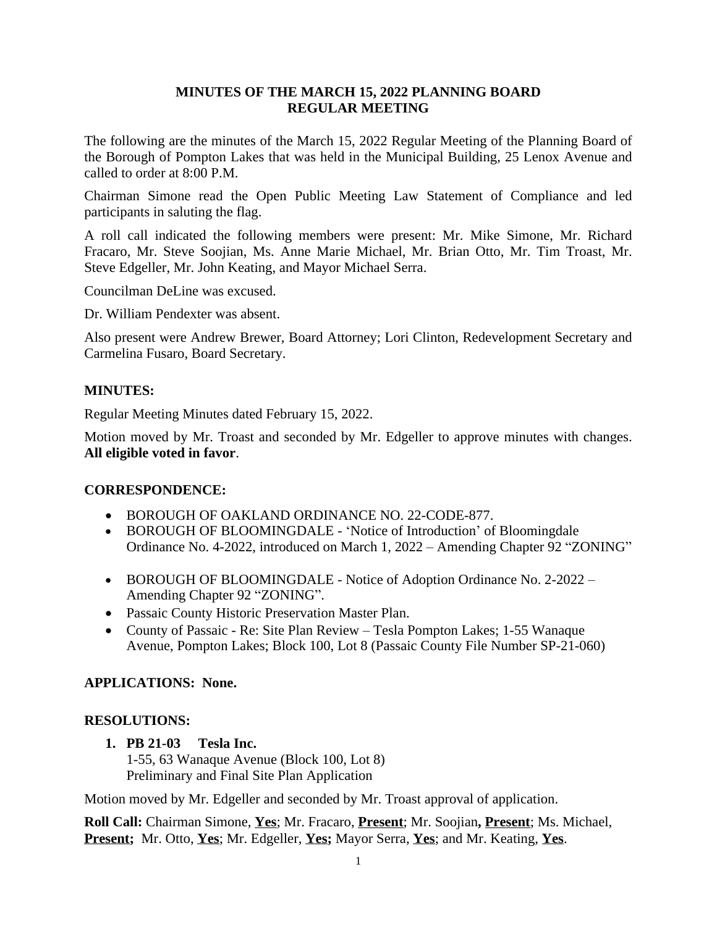# **MINUTES OF THE MARCH 15, 2022 PLANNING BOARD REGULAR MEETING**

The following are the minutes of the March 15, 2022 Regular Meeting of the Planning Board of the Borough of Pompton Lakes that was held in the Municipal Building, 25 Lenox Avenue and called to order at 8:00 P.M.

Chairman Simone read the Open Public Meeting Law Statement of Compliance and led participants in saluting the flag.

A roll call indicated the following members were present: Mr. Mike Simone, Mr. Richard Fracaro, Mr. Steve Soojian, Ms. Anne Marie Michael, Mr. Brian Otto, Mr. Tim Troast, Mr. Steve Edgeller, Mr. John Keating, and Mayor Michael Serra.

Councilman DeLine was excused.

Dr. William Pendexter was absent.

Also present were Andrew Brewer, Board Attorney; Lori Clinton, Redevelopment Secretary and Carmelina Fusaro, Board Secretary.

## **MINUTES:**

Regular Meeting Minutes dated February 15, 2022.

Motion moved by Mr. Troast and seconded by Mr. Edgeller to approve minutes with changes. **All eligible voted in favor**.

## **CORRESPONDENCE:**

- BOROUGH OF OAKLAND ORDINANCE NO. 22-CODE-877.
- BOROUGH OF BLOOMINGDALE 'Notice of Introduction' of Bloomingdale Ordinance No. 4-2022, introduced on March 1, 2022 – Amending Chapter 92 "ZONING"
- BOROUGH OF BLOOMINGDALE Notice of Adoption Ordinance No. 2-2022 Amending Chapter 92 "ZONING".
- Passaic County Historic Preservation Master Plan.
- County of Passaic Re: Site Plan Review Tesla Pompton Lakes; 1-55 Wanaque Avenue, Pompton Lakes; Block 100, Lot 8 (Passaic County File Number SP-21-060)

## **APPLICATIONS: None.**

## **RESOLUTIONS:**

## **1. PB 21-03 Tesla Inc.**

1-55, 63 Wanaque Avenue (Block 100, Lot 8) Preliminary and Final Site Plan Application

Motion moved by Mr. Edgeller and seconded by Mr. Troast approval of application.

**Roll Call:** Chairman Simone, **Yes**; Mr. Fracaro, **Present**; Mr. Soojian**, Present**; Ms. Michael, **Present;** Mr. Otto, **Yes**; Mr. Edgeller, **Yes;** Mayor Serra, **Yes**; and Mr. Keating, **Yes**.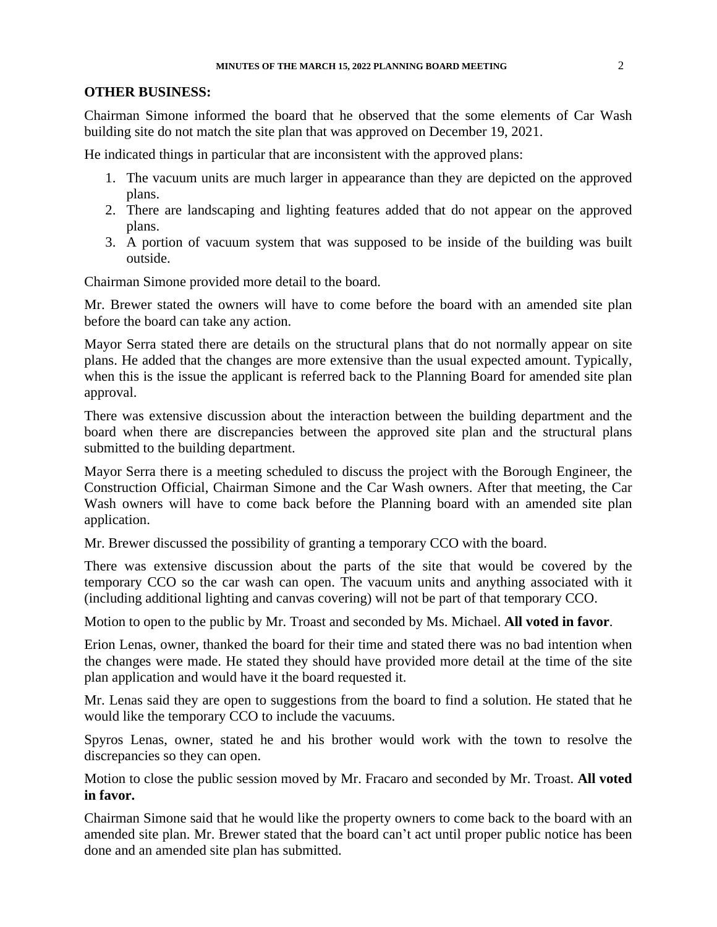#### **OTHER BUSINESS:**

Chairman Simone informed the board that he observed that the some elements of Car Wash building site do not match the site plan that was approved on December 19, 2021.

He indicated things in particular that are inconsistent with the approved plans:

- 1. The vacuum units are much larger in appearance than they are depicted on the approved plans.
- 2. There are landscaping and lighting features added that do not appear on the approved plans.
- 3. A portion of vacuum system that was supposed to be inside of the building was built outside.

Chairman Simone provided more detail to the board.

Mr. Brewer stated the owners will have to come before the board with an amended site plan before the board can take any action.

Mayor Serra stated there are details on the structural plans that do not normally appear on site plans. He added that the changes are more extensive than the usual expected amount. Typically, when this is the issue the applicant is referred back to the Planning Board for amended site plan approval.

There was extensive discussion about the interaction between the building department and the board when there are discrepancies between the approved site plan and the structural plans submitted to the building department.

Mayor Serra there is a meeting scheduled to discuss the project with the Borough Engineer, the Construction Official, Chairman Simone and the Car Wash owners. After that meeting, the Car Wash owners will have to come back before the Planning board with an amended site plan application.

Mr. Brewer discussed the possibility of granting a temporary CCO with the board.

There was extensive discussion about the parts of the site that would be covered by the temporary CCO so the car wash can open. The vacuum units and anything associated with it (including additional lighting and canvas covering) will not be part of that temporary CCO.

Motion to open to the public by Mr. Troast and seconded by Ms. Michael. **All voted in favor**.

Erion Lenas, owner, thanked the board for their time and stated there was no bad intention when the changes were made. He stated they should have provided more detail at the time of the site plan application and would have it the board requested it.

Mr. Lenas said they are open to suggestions from the board to find a solution. He stated that he would like the temporary CCO to include the vacuums.

Spyros Lenas, owner, stated he and his brother would work with the town to resolve the discrepancies so they can open.

Motion to close the public session moved by Mr. Fracaro and seconded by Mr. Troast. **All voted in favor.**

Chairman Simone said that he would like the property owners to come back to the board with an amended site plan. Mr. Brewer stated that the board can't act until proper public notice has been done and an amended site plan has submitted.